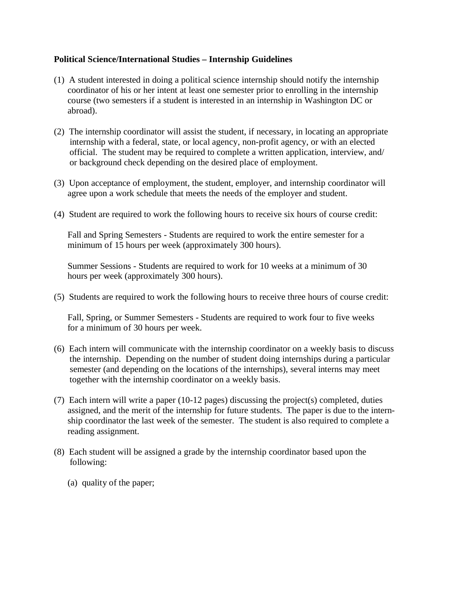## **Political Science/International Studies – Internship Guidelines**

- (1) A student interested in doing a political science internship should notify the internship coordinator of his or her intent at least one semester prior to enrolling in the internship course (two semesters if a student is interested in an internship in Washington DC or abroad).
- (2) The internship coordinator will assist the student, if necessary, in locating an appropriate internship with a federal, state, or local agency, non-profit agency, or with an elected official. The student may be required to complete a written application, interview, and/ or background check depending on the desired place of employment.
- (3) Upon acceptance of employment, the student, employer, and internship coordinator will agree upon a work schedule that meets the needs of the employer and student.
- (4) Student are required to work the following hours to receive six hours of course credit:

Fall and Spring Semesters - Students are required to work the entire semester for a minimum of 15 hours per week (approximately 300 hours).

Summer Sessions - Students are required to work for 10 weeks at a minimum of 30 hours per week (approximately 300 hours).

(5) Students are required to work the following hours to receive three hours of course credit:

Fall, Spring, or Summer Semesters - Students are required to work four to five weeks for a minimum of 30 hours per week.

- (6) Each intern will communicate with the internship coordinator on a weekly basis to discuss the internship. Depending on the number of student doing internships during a particular semester (and depending on the locations of the internships), several interns may meet together with the internship coordinator on a weekly basis.
- (7) Each intern will write a paper (10-12 pages) discussing the project(s) completed, duties assigned, and the merit of the internship for future students. The paper is due to the internship coordinator the last week of the semester. The student is also required to complete a reading assignment.
- (8) Each student will be assigned a grade by the internship coordinator based upon the following:
	- (a) quality of the paper;